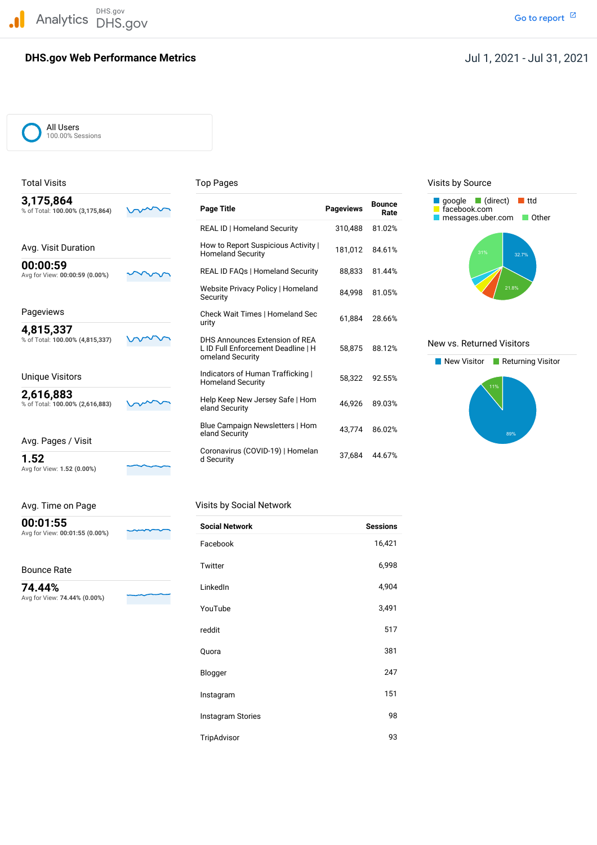DHS.gov Analytics DHS.gov and the contract of the contract of the contract of the contract of the contract of the contract of the contract of the contract of the contract of the contract of the contract of the contract of the cont

### **DHS.gov Web Performance Metrics**

### Jul 1, 2021 - Jul 31, 2021

All Users 100.00% Sessions

| J, I / J,004                    |  |
|---------------------------------|--|
| % of Total: 100.00% (3,175,864) |  |
|                                 |  |

Avg for View: **1.52 (0.00%)**

| Avg. Time on Page                          |  |
|--------------------------------------------|--|
| 00:01:55<br>Avg for View: 00:01:55 (0.00%) |  |

#### Bounce Rate

 Avg for View: **74.44% (0.00%) 74.44%**



| 3,175,864<br>% of Total: 100.00% (3,175,864) | Page Title                                                           | <b>Pageviews</b> | <b>Bounce</b><br>Rate | $\Box$ google $\Box$ (direct)<br>∎ ttd<br>facebook.com<br>messages.uber.com<br>- 0 |
|----------------------------------------------|----------------------------------------------------------------------|------------------|-----------------------|------------------------------------------------------------------------------------|
|                                              | <b>REAL ID   Homeland Security</b>                                   | 310,488          | 81.02%                |                                                                                    |
| Avg. Visit Duration                          | How to Report Suspicious Activity  <br><b>Homeland Security</b>      | 181,012          | 84.61%                | 31%<br>32.7%                                                                       |
| 00:00:59<br>Avg for View: 00:00:59 (0.00%)   | <b>REAL ID FAQs   Homeland Security</b>                              | 88.833           | 81.44%                |                                                                                    |
|                                              | Website Privacy Policy   Homeland<br>Security                        | 84.998           | 81.05%                | 21.8%                                                                              |
| Pageviews                                    | Check Wait Times   Homeland Sec                                      | 61,884           | 28.66%                |                                                                                    |
| 4,815,337                                    | urity                                                                |                  |                       |                                                                                    |
| % of Total: 100.00% (4,815,337)              | DHS Announces Extension of REA<br>L ID Full Enforcement Deadline   H | 58,875           | 88.12%                | New vs. Returned Visitors                                                          |
|                                              | omeland Security                                                     |                  |                       | New Visitor<br>$\blacksquare$ Returning                                            |
| Unique Visitors                              | Indicators of Human Trafficking<br><b>Homeland Security</b>          | 58.322           | 92.55%                | 11%                                                                                |
| 2,616,883<br>% of Total: 100.00% (2,616,883) | Help Keep New Jersey Safe   Hom<br>eland Security                    | 46,926           | 89.03%                |                                                                                    |
| Avg. Pages / Visit                           | Blue Campaign Newsletters   Hom<br>eland Security                    | 43,774           | 86.02%                | 89%                                                                                |
| 1.52                                         | Coronavirus (COVID-19)   Homelan<br>d Security                       | 37,684           | 44.67%                |                                                                                    |

### Visits by Social Network

| <b>Social Network</b> | <b>Sessions</b> |
|-----------------------|-----------------|
| Facebook              | 16,421          |
| Twitter               | 6,998           |
| LinkedIn              | 4,904           |
| YouTube               | 3,491           |
| reddit                | 517             |
| Quora                 | 381             |
| Blogger               | 247             |
| Instagram             | 151             |
| Instagram Stories     | 98              |
| TripAdvisor           | 93              |

#### Total Visits **Top Pages** Top Pages Top Pages Visits by Source



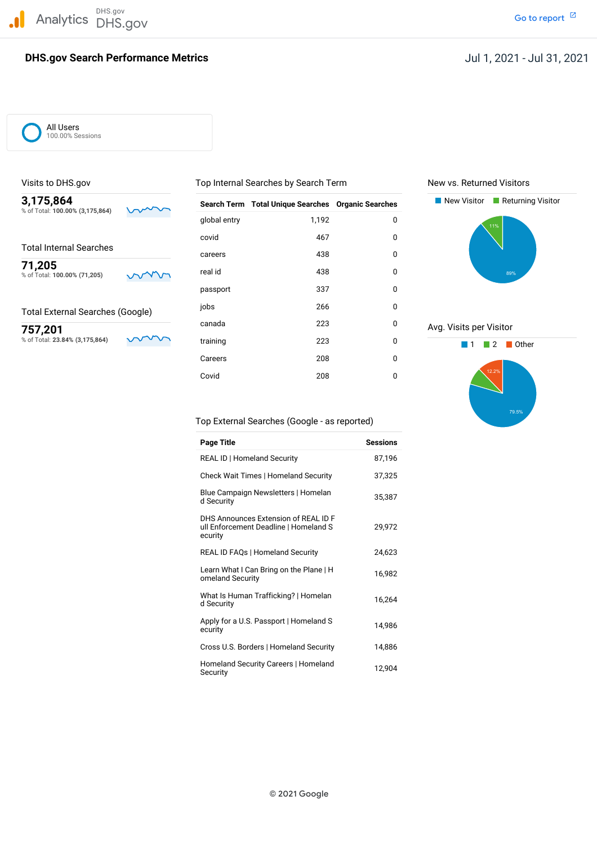### **DHS.gov Search Performance Metrics**

### Jul 1, 2021 - Jul 31, 2021

All Users 100.00% Sessions

#### Total External Searches (Google)

| 3,175,864<br>% of Total: 100.00% (3,175,864) | <b>Search Term</b> | <b>Total Unique Searches Organic Searches</b> |             | New Visitor<br>Returning Visitor |
|----------------------------------------------|--------------------|-----------------------------------------------|-------------|----------------------------------|
|                                              | global entry       | 1,192                                         | 0           | 11%                              |
|                                              | covid              | 467                                           | $\mathbf 0$ |                                  |
| <b>Total Internal Searches</b>               | careers            | 438                                           | 0           |                                  |
| 71,205<br>% of Total: 100.00% (71,205)       | real id            | 438                                           | $\mathbf 0$ | 89%                              |
|                                              | passport           | 337                                           | 0           |                                  |
| <b>Total External Searches (Google)</b>      | jobs               | 266                                           | 0           |                                  |
| 757,201                                      | canada             | 223                                           | 0           | Avg. Visits per Visitor          |
| % of Total: 23.84% (3,175,864)               | training           | 223                                           | 0           | Other<br>2                       |
|                                              | Careers            | 208                                           | 0           |                                  |
|                                              | Covid              | 208                                           | 0           | 12.2%                            |

### Visits to DHS.gov **The Community Community Community** Top Internal Searches by Search Term New vs. Returned Visitors





#### Top External Searches (Google - as reported)

| <b>Page Title</b>                                                                        | <b>Sessions</b> |
|------------------------------------------------------------------------------------------|-----------------|
| <b>REAL ID   Homeland Security</b>                                                       | 87,196          |
| Check Wait Times   Homeland Security                                                     | 37,325          |
| Blue Campaign Newsletters   Homelan<br>d Security                                        | 35,387          |
| DHS Announces Extension of REAL ID F<br>ull Enforcement Deadline   Homeland S<br>ecurity | 29,972          |
| <b>REAL ID FAQs   Homeland Security</b>                                                  | 24,623          |
| Learn What I Can Bring on the Plane   H<br>omeland Security                              | 16,982          |
| What Is Human Trafficking?   Homelan<br>d Security                                       | 16,264          |
| Apply for a U.S. Passport   Homeland S<br>ecurity                                        | 14,986          |
| Cross U.S. Borders   Homeland Security                                                   | 14,886          |
| Homeland Security Careers   Homeland<br>Security                                         | 12,904          |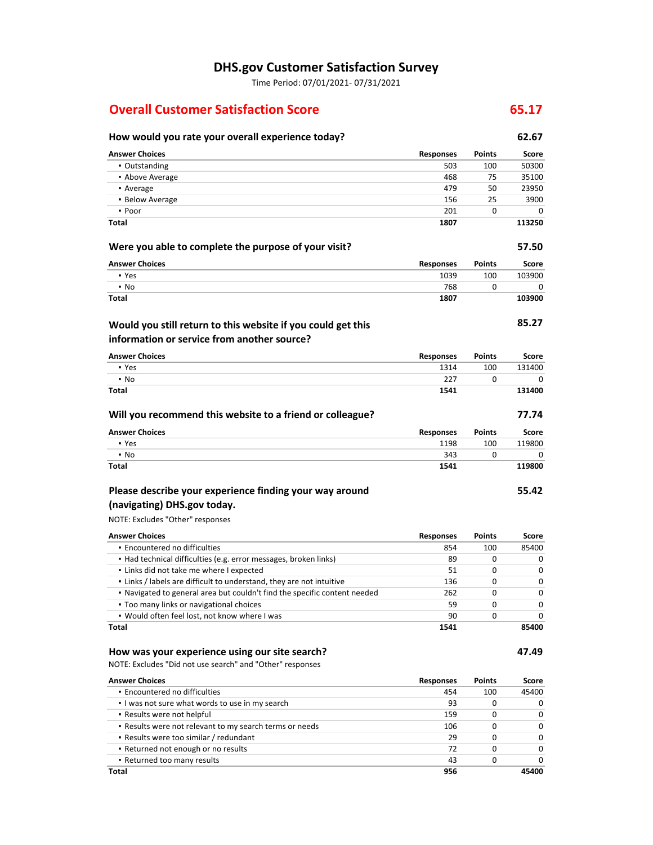# **DHS.gov Customer Satisfaction Survey**

Time Period: 07/01/2021- 07/31/2021

# **Overall Customer Satisfaction Score 65.17 <b>65.17**

# **How would you rate your overall experience today? 62.67**

| <b>Answer Choices</b>                                                     | <b>Responses</b> | <b>Points</b> | <b>Score</b> |
|---------------------------------------------------------------------------|------------------|---------------|--------------|
| • Outstanding                                                             | 503              | 100           | 50300        |
| • Above Average                                                           | 468              | 75            | 35100        |
| • Average                                                                 | 479              | 50            | 23950        |
| • Below Average                                                           | 156              | 25            | 3900         |
| • Poor                                                                    | 201              | 0             | 0            |
| <b>Total</b>                                                              | 1807             |               | 113250       |
| Were you able to complete the purpose of your visit?                      |                  |               | 57.50        |
| <b>Answer Choices</b>                                                     | <b>Responses</b> | <b>Points</b> | <b>Score</b> |
| • Yes                                                                     | 1039             | 100           | 103900       |
| $\blacksquare$ No                                                         | 768              | 0             | 0            |
| <b>Total</b>                                                              | 1807             |               | 103900       |
| Would you still return to this website if you could get this              |                  |               | 85.27        |
| information or service from another source?                               |                  |               |              |
| <b>Answer Choices</b>                                                     | <b>Responses</b> | <b>Points</b> | <b>Score</b> |
| • Yes                                                                     | 1314             | 100           | 131400       |
| $\blacksquare$ No                                                         | 227              | 0             | 0            |
| <b>Total</b>                                                              | 1541             |               | 131400       |
| Will you recommend this website to a friend or colleague?                 |                  |               | 77.74        |
| <b>Answer Choices</b>                                                     | <b>Responses</b> | <b>Points</b> | <b>Score</b> |
| • Yes                                                                     | 1198             | 100           | 119800       |
| $\blacksquare$ No                                                         | 343              | 0             | 0            |
| <b>Total</b>                                                              | 1541             |               | 119800       |
| Please describe your experience finding your way around                   |                  |               | 55.42        |
| (navigating) DHS.gov today.                                               |                  |               |              |
| NOTE: Excludes "Other" responses                                          |                  |               |              |
| <b>Answer Choices</b>                                                     | <b>Responses</b> | <b>Points</b> | <b>Score</b> |
| · Encountered no difficulties                                             | 854              | 100           | 85400        |
| • Had technical difficulties (e.g. error messages, broken links)          | 89               | 0             | 0            |
| - Links did not take me where I expected                                  | 51               | 0             | 0            |
| . Links / labels are difficult to understand, they are not intuitive      | 136              | 0             | 0            |
| . Navigated to general area but couldn't find the specific content needed | 262              | 0             | 0            |
| . Too many links or navigational choices                                  | 59               | 0             | 0            |
| . Would often feel lost, not know where I was<br><b>Total</b>             | 90<br>1541       | 0             | 0<br>85400   |
|                                                                           |                  |               |              |
| How was your experience using our site search?                            |                  |               | 47.49        |
| NOTE: Excludes "Did not use search" and "Other" responses                 |                  |               |              |
| <b>Answer Choices</b>                                                     | <b>Responses</b> | <b>Points</b> | <b>Score</b> |
| · Encountered no difficulties                                             | 454              | 100           | 45400        |
| I was not sure what words to use in my search                             | 93               | 0             | 0            |

▪ Results were not helpful ▪ Results were not relevant to my search terms or needs ▪ Results were too similar / redundant ▪ Returned not enough or no results ▪ Returned too many results **Total**  159 106 29 72 43 **956**  0 0  $\overline{0}$ 0 0 0 0  $\overline{\textbf{0}}$  $\overline{\textbf{0}}$ 0 **45400**